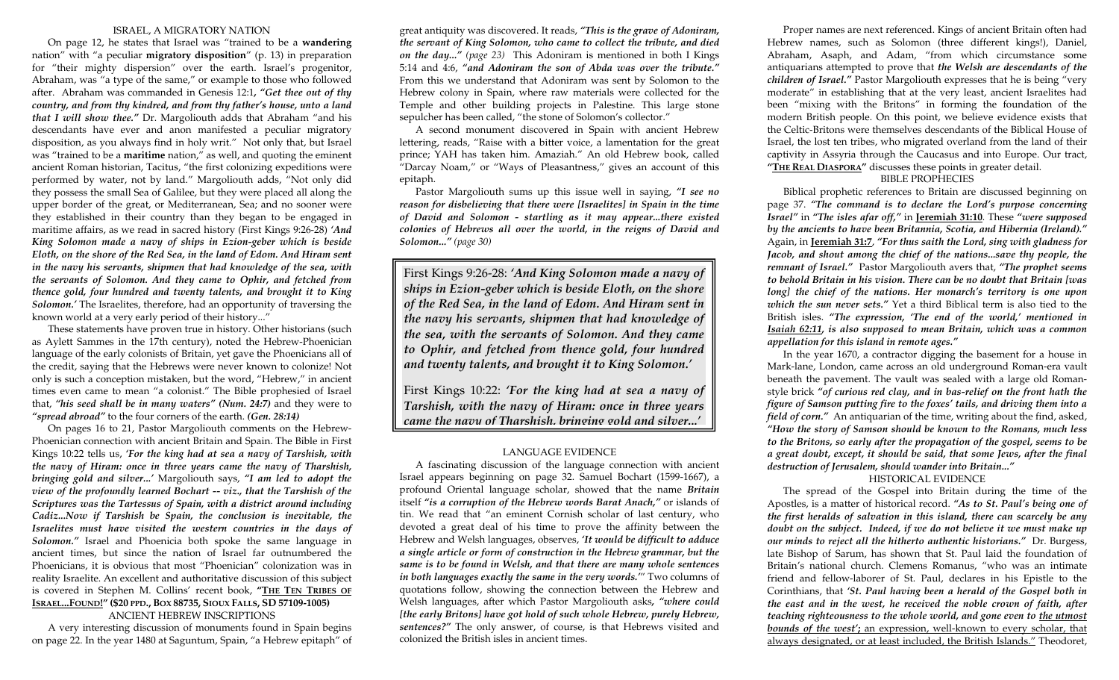#### ISRAEL, A MIGRATORY NATION

 On page 12, he states that Israel was "trained to be a **wandering** nation" with "a peculiar **migratory disposition**" (p. 13) in preparation for "their mighty dispersion" over the earth. Israel's progenitor, Abraham, was "a type of the same," or example to those who followed after. Abraham was commanded in Genesis 12:1*, "Get thee out of thy country, and from thy kindred, and from thy father's house, unto a land that I will show thee."* Dr. Margoliouth adds that Abraham "and his descendants have ever and anon manifested a peculiar migratory disposition, as you always find in holy writ." Not only that, but Israel was "trained to be a **maritime** nation," as well, and quoting the eminent ancient Roman historian, Tacitus, "the first colonizing expeditions were performed by water, not by land." Margoliouth adds, "Not only did they possess the small Sea of Galilee, but they were placed all along the upper border of the great, or Mediterranean, Sea; and no sooner were they established in their country than they began to be engaged in maritime affairs, as we read in sacred history (First Kings 9:26-28) *'And King Solomon made a navy of ships in Ezion-geber which is beside Eloth, on the shore of the Red Sea, in the land of Edom. And Hiram sent in the navy his servants, shipmen that had knowledge of the sea, with the servants of Solomon. And they came to Ophir, and fetched from thence gold, four hundred and twenty talents, and brought it to King Solomon.'* The Israelites, therefore, had an opportunity of traversing the known world at a very early period of their history..."

 These statements have proven true in history. Other historians (such as Aylett Sammes in the 17th century), noted the Hebrew-Phoenician language of the early colonists of Britain, yet gave the Phoenicians all of the credit, saying that the Hebrews were never known to colonize! Not only is such a conception mistaken, but the word, "Hebrew," in ancient times even came to mean "a colonist." The Bible prophesied of Israel that, *"his seed shall be in many waters" (Num. 24:7)* and they were to *"spread abroad"* to the four corners of the earth. *(Gen. 28:14)*

 On pages 16 to 21, Pastor Margoliouth comments on the Hebrew-Phoenician connection with ancient Britain and Spain. The Bible in First Kings 10:22 tells us, *'For the king had at sea a navy of Tarshish, with the navy of Hiram: once in three years came the navy of Tharshish, bringing gold and silver...'* Margoliouth says, *"I am led to adopt the view of the profoundly learned Bochart -- viz., that the Tarshish of the Scriptures was the Tartessus of Spain, with a district around including Cadiz...Now if Tarshish be Spain, the conclusion is inevitable, the Israelites must have visited the western countries in the days of Solomon."* Israel and Phoenicia both spoke the same language in ancient times, but since the nation of Israel far outnumbered the Phoenicians, it is obvious that most "Phoenician" colonization was in reality Israelite. An excellent and authoritative discussion of this subject is covered in Stephen M. Collins' recent book, "THE TEN TRIBES OF **ISRAEL...FOUND!" (\$20 PPD., BOX 88735, SIOUX FALLS, SD 57109-1005)** 

### ANCIENT HEBREW INSCRIPTIONS

 A very interesting discussion of monuments found in Spain begins on page 22. In the year 1480 at Saguntum, Spain, "a Hebrew epitaph" of

great antiquity was discovered. It reads, *"This is the grave of Adoniram, the servant of King Solomon, who came to collect the tribute, and died on the day..." (page 23)* This Adoniram is mentioned in both I Kings 5:14 and 4:6, *"and Adoniram the son of Abda was over the tribute."* From this we understand that Adoniram was sent by Solomon to the Hebrew colony in Spain, where raw materials were collected for the Temple and other building projects in Palestine. This large stone sepulcher has been called, "the stone of Solomon's collector."

 A second monument discovered in Spain with ancient Hebrew lettering, reads, "Raise with a bitter voice, a lamentation for the great prince; YAH has taken him. Amaziah." An old Hebrew book, called "Darcay Noam," or "Ways of Pleasantness," gives an account of this epitaph.

Pastor Margoliouth sums up this issue well in saying, *"I see no reason for disbelieving that there were [Israelites] in Spain in the time of David and Solomon - startling as it may appear...there existed colonies of Hebrews all over the world, in the reigns of David and Solomon..." (page 30)*

First Kings 9:26-28: *'And King Solomon made a navy of ships in Ezion-geber which is beside Eloth, on the shore of the Red Sea, in the land of Edom. And Hiram sent in the navy his servants, shipmen that had knowledge of the sea, with the servants of Solomon. And they came to Ophir, and fetched from thence gold, four hundred and twenty talents, and brought it to King Solomon.'* 

First Kings 10:22: *'For the king had at sea a navy of Tarshish, with the navy of Hiram: once in three years came the navy of Tharshish, bringing gold and silver...'*

#### LANGUAGE EVIDENCE

 A fascinating discussion of the language connection with ancient Israel appears beginning on page 32. Samuel Bochart (1599-1667), a profound Oriental language scholar, showed that the name *Britain* itself *"is a corruption of the Hebrew words Barat Anach,"* or islands of tin. We read that "an eminent Cornish scholar of last century, who devoted a great deal of his time to prove the affinity between the Hebrew and Welsh languages, observes, *'It would be difficult to adduce a single article or form of construction in the Hebrew grammar, but the same is to be found in Welsh, and that there are many whole sentences in both languages exactly the same in the very words.'*" Two columns of quotations follow, showing the connection between the Hebrew and Welsh languages, after which Pastor Margoliouth asks*, "where could [the early Britons] have got hold of such whole Hebrew, purely Hebrew, sentences?"* The only answer, of course, is that Hebrews visited and colonized the British isles in ancient times.

 Proper names are next referenced. Kings of ancient Britain often had Hebrew names, such as Solomon (three different kings!), Daniel, Abraham, Asaph, and Adam, "from which circumstance some antiquarians attempted to prove that *the Welsh are descendants of the children of Israel."* Pastor Margoliouth expresses that he is being "very moderate" in establishing that at the very least, ancient Israelites had been "mixing with the Britons" in forming the foundation of the modern British people. On this point, we believe evidence exists that the Celtic-Britons were themselves descendants of the Biblical House of Israel, the lost ten tribes, who migrated overland from the land of their captivity in Assyria through the Caucasus and into Europe. Our tract, **"THE REAL DIASPORA"** discusses these points in greater detail.

#### BIBLE PROPHECIES

 Biblical prophetic references to Britain are discussed beginning on page 37. *"The command is to declare the Lord's purpose concerning Israel"* in *"The isles afar off,"* in **Jeremiah 31:10**. These *"were supposed by the ancients to have been Britannia, Scotia, and Hibernia (Ireland)."*  Again, in **Jeremiah 31:7**, *"For thus saith the Lord, sing with gladness for Jacob, and shout among the chief of the nations...save thy people, the remnant of Israel."* Pastor Margoliouth avers that, *"The prophet seems to behold Britain in his vision. There can be no doubt that Britain [was long] the chief of the nations. Her monarch's territory is one upon which the sun never sets."* Yet a third Biblical term is also tied to the British isles. *"The expression, 'The end of the world,' mentioned in Isaiah 62:11, is also supposed to mean Britain, which was a common appellation for this island in remote ages."*

 In the year 1670, a contractor digging the basement for a house in Mark-lane, London, came across an old underground Roman-era vault beneath the pavement. The vault was sealed with a large old Romanstyle brick *"of curious red clay, and in bas-relief on the front hath the figure of Samson putting fire to the foxes' tails, and driving them into a field of corn."* An antiquarian of the time, writing about the find, asked, *"How the story of Samson should be known to the Romans, much less to the Britons, so early after the propagation of the gospel, seems to be a great doubt, except, it should be said, that some Jews, after the final destruction of Jerusalem, should wander into Britain..."* 

#### HISTORICAL EVIDENCE

 The spread of the Gospel into Britain during the time of the Apostles, is a matter of historical record. *"As to St. Paul's being one of the first heralds of salvation in this island, there can scarcely be any doubt on the subject. Indeed, if we do not believe it we must make up our minds to reject all the hitherto authentic historians."* Dr. Burgess, late Bishop of Sarum, has shown that St. Paul laid the foundation of Britain's national church. Clemens Romanus, "who was an intimate friend and fellow-laborer of St. Paul, declares in his Epistle to the Corinthians, that *'St. Paul having been a herald of the Gospel both in the east and in the west, he received the noble crown of faith, after teaching righteousness to the whole world, and gone even to the utmost bounds of the west'***;** an expression, well-known to every scholar, that always designated, or at least included, the British Islands." Theodoret,